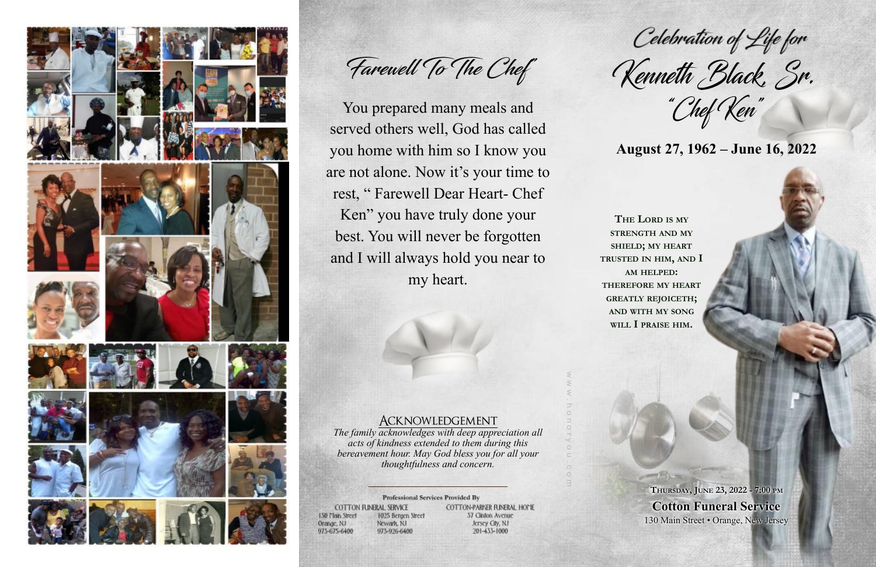### Acknowledgement

*The family acknowledges with deep appreciation all acts of kindness extended to them during this bereavement hour. May God bless you for all your thoughtfulness and concern.*

### Professional Services Provided By

COTTON FUNERAL SERVICE 130 Main Street 1025 Bergen Street Newark, NJ Orange, NJ 973-675-6400 973-926-6400

COTTON-PARKER FUNERAL HOME 37 Clinton Avenue Jersey City, NJ 201-433-1000

w w w . h o n o r y o u . c o m

**THE LORD IS MY STRENGTH AND MY SHIELD; MY HEART TRUSTED IN HIM, AND I AM HELPED: THEREFORE MY HEART GREATLY REJOICETH; AND WITH MY SONG WILL I PRAISE HIM.**

"Chef Ken"

## **August 27, 1962 – June 16, 2022**



Farewell To The Chef"

You prepared many meals and served others well, God has called you home with him so I know you are not alone. Now it's your time to rest, " Farewell Dear Heart- Chef Ken" you have truly done your best. You will never be forgotten and I will always hold you near to my heart.

Celebration of Life for<br>Kenneth Black, Sr.

**THURSDAY, JUNE 23, 2022 - 7:00 PM Cotton Funeral Service** 130 Main Street • Orange, New Jersey